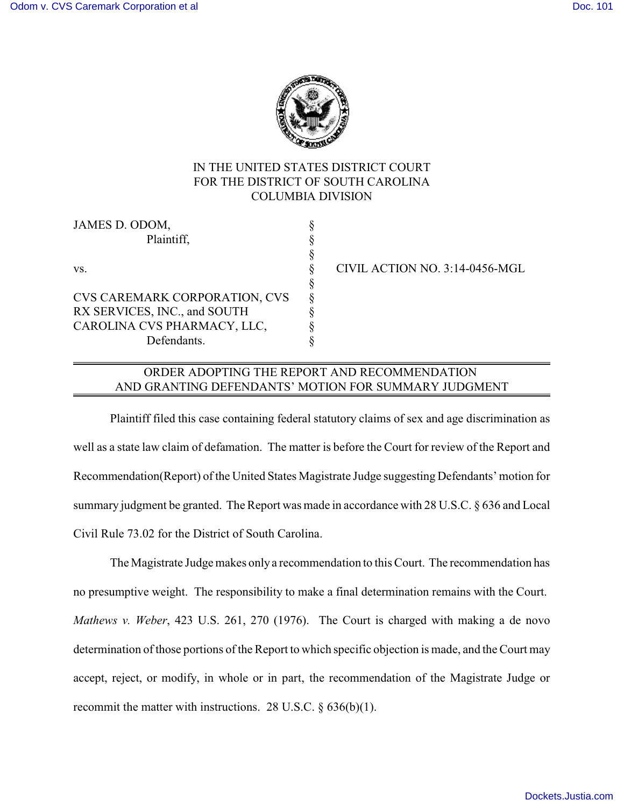

# IN THE UNITED STATES DISTRICT COURT FOR THE DISTRICT OF SOUTH CAROLINA COLUMBIA DIVISION

§

| JAMES D. ODOM,                       |   |
|--------------------------------------|---|
| Plaintiff,                           | ş |
| VS.                                  | ş |
|                                      | ş |
|                                      | ş |
| <b>CVS CAREMARK CORPORATION, CVS</b> | Ş |
| RX SERVICES, INC., and SOUTH         | ş |
| CAROLINA CVS PHARMACY, LLC,          | ş |
| Defendants.                          | 8 |
|                                      |   |

§ CIVIL ACTION NO. 3:14-0456-MGL

### ORDER ADOPTING THE REPORT AND RECOMMENDATION AND GRANTING DEFENDANTS' MOTION FOR SUMMARY JUDGMENT

Plaintiff filed this case containing federal statutory claims of sex and age discrimination as well as a state law claim of defamation. The matter is before the Court for review of the Report and Recommendation(Report) of the United States Magistrate Judge suggesting Defendants' motion for summary judgment be granted. The Report was made in accordance with 28 U.S.C. § 636 and Local Civil Rule 73.02 for the District of South Carolina.

The Magistrate Judge makes only a recommendation to this Court. The recommendation has no presumptive weight. The responsibility to make a final determination remains with the Court. *Mathews v. Weber*, 423 U.S. 261, 270 (1976). The Court is charged with making a de novo determination of those portions of the Report to which specific objection is made, and the Court may accept, reject, or modify, in whole or in part, the recommendation of the Magistrate Judge or recommit the matter with instructions. 28 U.S.C. § 636(b)(1).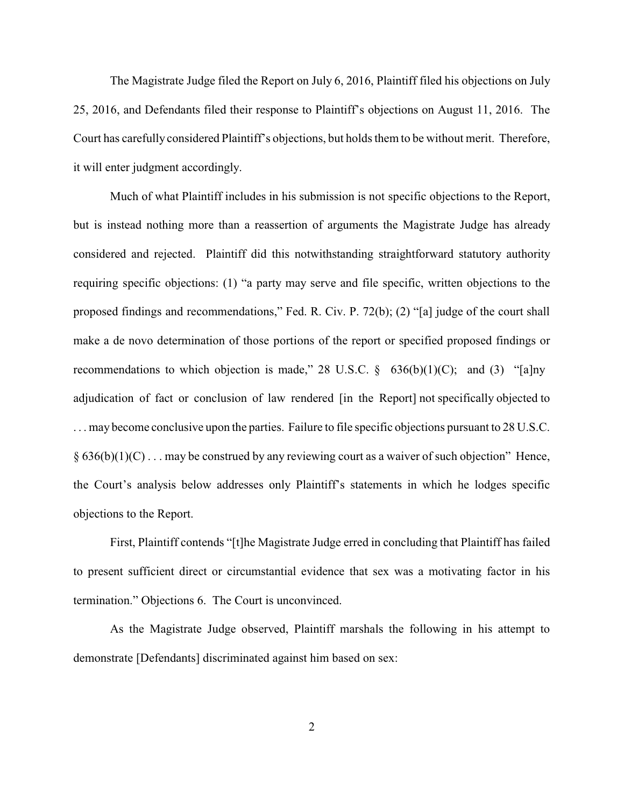The Magistrate Judge filed the Report on July 6, 2016, Plaintiff filed his objections on July 25, 2016, and Defendants filed their response to Plaintiff's objections on August 11, 2016. The Court has carefully considered Plaintiff's objections, but holds them to be without merit. Therefore, it will enter judgment accordingly.

Much of what Plaintiff includes in his submission is not specific objections to the Report, but is instead nothing more than a reassertion of arguments the Magistrate Judge has already considered and rejected. Plaintiff did this notwithstanding straightforward statutory authority requiring specific objections: (1) "a party may serve and file specific, written objections to the proposed findings and recommendations," Fed. R. Civ. P. 72(b); (2) "[a] judge of the court shall make a de novo determination of those portions of the report or specified proposed findings or recommendations to which objection is made," 28 U.S.C.  $\S$  636(b)(1)(C); and (3) "[a]ny adjudication of fact or conclusion of law rendered [in the Report] not specifically objected to . . . may become conclusive upon the parties. Failure to file specific objections pursuant to 28 U.S.C.  $§ 636(b)(1)(C) \dots$  may be construed by any reviewing court as a waiver of such objection" Hence, the Court's analysis below addresses only Plaintiff's statements in which he lodges specific objections to the Report.

First, Plaintiff contends "[t]he Magistrate Judge erred in concluding that Plaintiff has failed to present sufficient direct or circumstantial evidence that sex was a motivating factor in his termination." Objections 6. The Court is unconvinced.

As the Magistrate Judge observed, Plaintiff marshals the following in his attempt to demonstrate [Defendants] discriminated against him based on sex: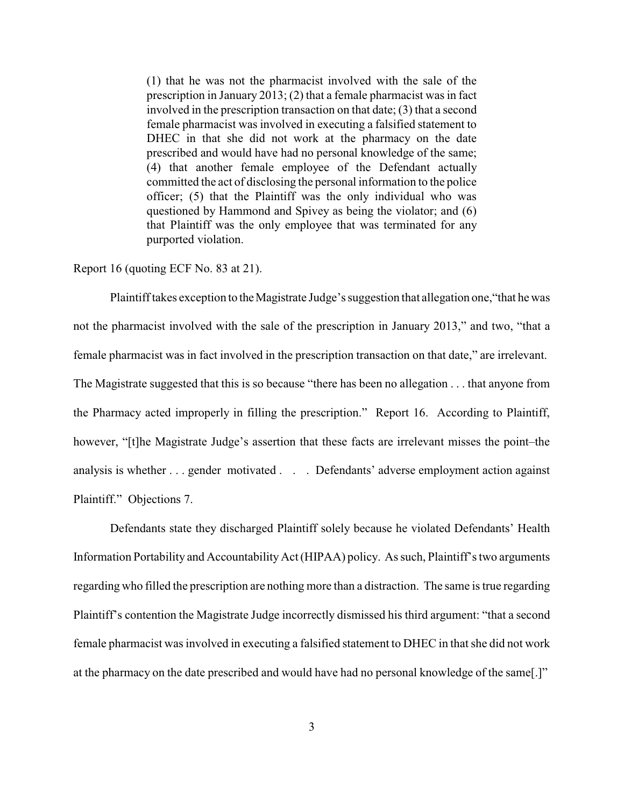(1) that he was not the pharmacist involved with the sale of the prescription in January 2013; (2) that a female pharmacist was in fact involved in the prescription transaction on that date; (3) that a second female pharmacist was involved in executing a falsified statement to DHEC in that she did not work at the pharmacy on the date prescribed and would have had no personal knowledge of the same; (4) that another female employee of the Defendant actually committed the act of disclosing the personal information to the police officer; (5) that the Plaintiff was the only individual who was questioned by Hammond and Spivey as being the violator; and (6) that Plaintiff was the only employee that was terminated for any purported violation.

#### Report 16 (quoting ECF No. 83 at 21).

Plaintiff takes exception to the Magistrate Judge's suggestion that allegation one, "that he was not the pharmacist involved with the sale of the prescription in January 2013," and two, "that a female pharmacist was in fact involved in the prescription transaction on that date," are irrelevant. The Magistrate suggested that this is so because "there has been no allegation . . . that anyone from the Pharmacy acted improperly in filling the prescription." Report 16. According to Plaintiff, however, "[t]he Magistrate Judge's assertion that these facts are irrelevant misses the point–the analysis is whether . . . gender motivated . . . Defendants' adverse employment action against Plaintiff." Objections 7.

Defendants state they discharged Plaintiff solely because he violated Defendants' Health Information Portability and Accountability Act (HIPAA) policy. As such, Plaintiff's two arguments regarding who filled the prescription are nothing more than a distraction. The same is true regarding Plaintiff's contention the Magistrate Judge incorrectly dismissed his third argument: "that a second female pharmacist was involved in executing a falsified statement to DHEC in that she did not work at the pharmacy on the date prescribed and would have had no personal knowledge of the same[.]"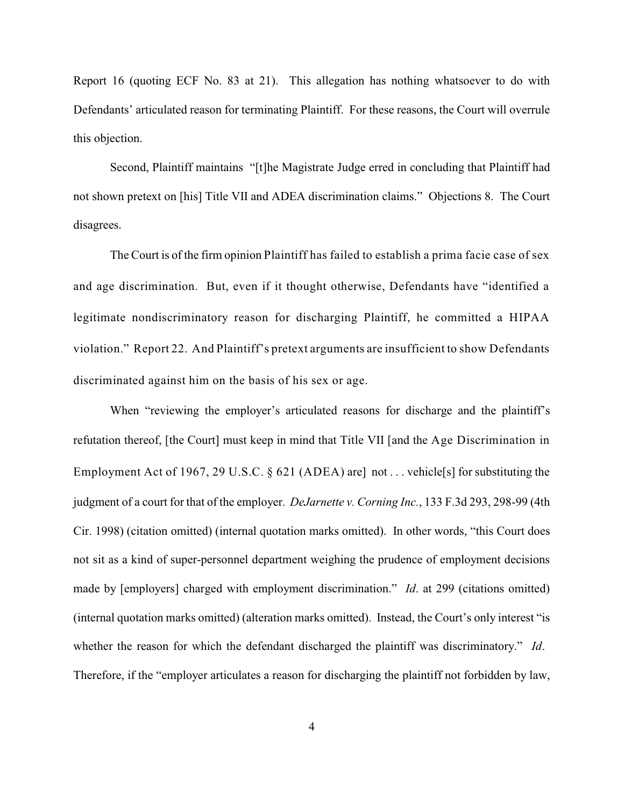Report 16 (quoting ECF No. 83 at 21). This allegation has nothing whatsoever to do with Defendants' articulated reason for terminating Plaintiff. For these reasons, the Court will overrule this objection.

Second, Plaintiff maintains "[t]he Magistrate Judge erred in concluding that Plaintiff had not shown pretext on [his] Title VII and ADEA discrimination claims." Objections 8. The Court disagrees.

The Court is of the firm opinion Plaintiff has failed to establish a prima facie case of sex and age discrimination. But, even if it thought otherwise, Defendants have "identified a legitimate nondiscriminatory reason for discharging Plaintiff, he committed a HIPAA violation." Report 22. And Plaintiff's pretext arguments are insufficient to show Defendants discriminated against him on the basis of his sex or age.

When "reviewing the employer's articulated reasons for discharge and the plaintiff's refutation thereof, [the Court] must keep in mind that Title VII [and the Age Discrimination in Employment Act of 1967, 29 U.S.C.  $\&$  621 (ADEA) are not ... vehicles for substituting the judgment of a court for that of the employer. *DeJarnette v. Corning Inc.*, 133 F.3d 293, 298-99 (4th Cir. 1998) (citation omitted) (internal quotation marks omitted). In other words, "this Court does not sit as a kind of super-personnel department weighing the prudence of employment decisions made by [employers] charged with employment discrimination." *Id*. at 299 (citations omitted) (internal quotation marks omitted) (alteration marks omitted). Instead, the Court's only interest "is whether the reason for which the defendant discharged the plaintiff was discriminatory." *Id*. Therefore, if the "employer articulates a reason for discharging the plaintiff not forbidden by law,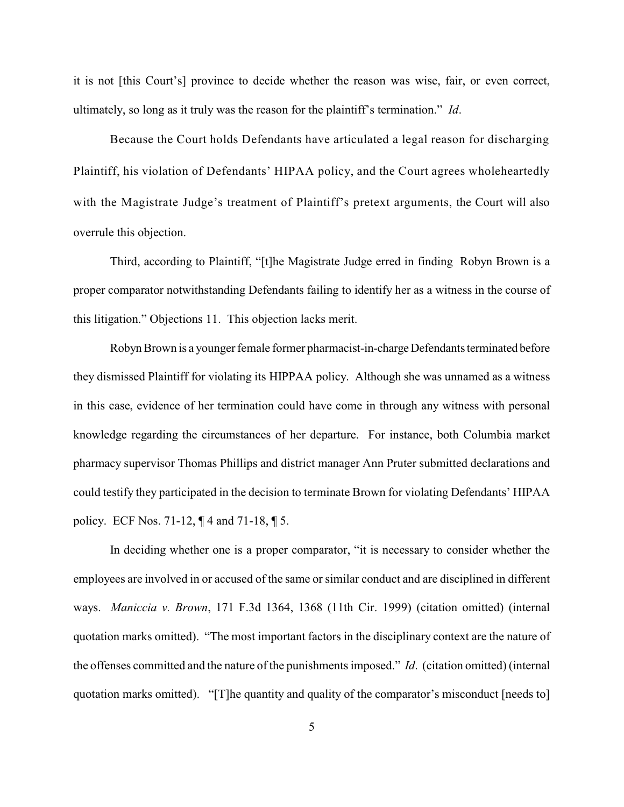it is not [this Court's] province to decide whether the reason was wise, fair, or even correct, ultimately, so long as it truly was the reason for the plaintiff's termination." *Id*.

Because the Court holds Defendants have articulated a legal reason for discharging Plaintiff, his violation of Defendants' HIPAA policy, and the Court agrees wholeheartedly with the Magistrate Judge's treatment of Plaintiff's pretext arguments, the Court will also overrule this objection.

Third, according to Plaintiff, "[t]he Magistrate Judge erred in finding Robyn Brown is a proper comparator notwithstanding Defendants failing to identify her as a witness in the course of this litigation." Objections 11. This objection lacks merit.

Robyn Brown is a younger female former pharmacist-in-charge Defendants terminated before they dismissed Plaintiff for violating its HIPPAA policy. Although she was unnamed as a witness in this case, evidence of her termination could have come in through any witness with personal knowledge regarding the circumstances of her departure. For instance, both Columbia market pharmacy supervisor Thomas Phillips and district manager Ann Pruter submitted declarations and could testify they participated in the decision to terminate Brown for violating Defendants' HIPAA policy. ECF Nos. 71-12, ¶ 4 and 71-18, ¶ 5.

In deciding whether one is a proper comparator, "it is necessary to consider whether the employees are involved in or accused of the same or similar conduct and are disciplined in different ways. *Maniccia v. Brown*, 171 F.3d 1364, 1368 (11th Cir. 1999) (citation omitted) (internal quotation marks omitted). "The most important factors in the disciplinary context are the nature of the offenses committed and the nature of the punishments imposed." *Id*. (citation omitted) (internal quotation marks omitted). "[T]he quantity and quality of the comparator's misconduct [needs to]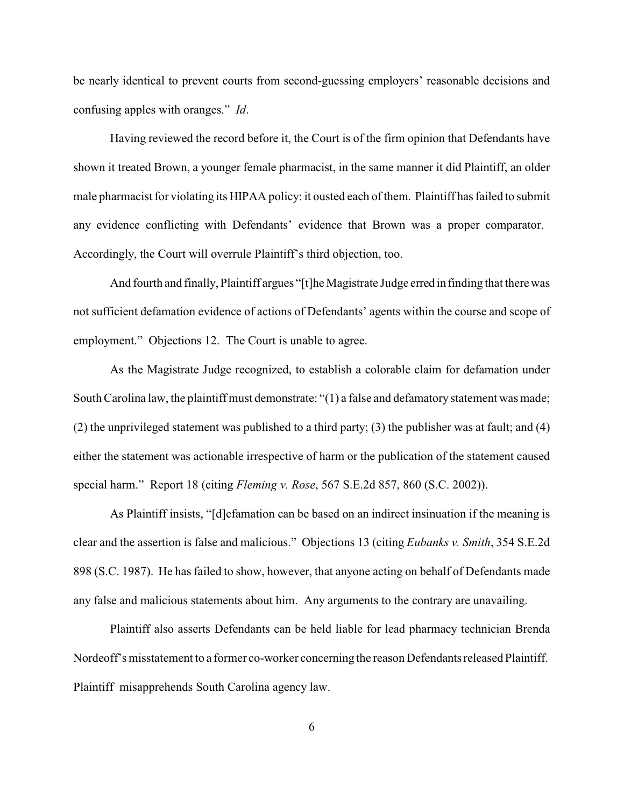be nearly identical to prevent courts from second-guessing employers' reasonable decisions and confusing apples with oranges." *Id*.

Having reviewed the record before it, the Court is of the firm opinion that Defendants have shown it treated Brown, a younger female pharmacist, in the same manner it did Plaintiff, an older male pharmacist for violating its HIPAA policy: it ousted each of them. Plaintiff has failed to submit any evidence conflicting with Defendants' evidence that Brown was a proper comparator. Accordingly, the Court will overrule Plaintiff's third objection, too.

And fourth and finally, Plaintiff argues "[t]he Magistrate Judge erred in finding that therewas not sufficient defamation evidence of actions of Defendants' agents within the course and scope of employment." Objections 12. The Court is unable to agree.

As the Magistrate Judge recognized, to establish a colorable claim for defamation under South Carolina law, the plaintiff must demonstrate: "(1) a false and defamatory statement was made; (2) the unprivileged statement was published to a third party; (3) the publisher was at fault; and (4) either the statement was actionable irrespective of harm or the publication of the statement caused special harm." Report 18 (citing *Fleming v. Rose*, 567 S.E.2d 857, 860 (S.C. 2002)).

As Plaintiff insists, "[d]efamation can be based on an indirect insinuation if the meaning is clear and the assertion is false and malicious." Objections 13 (citing *Eubanks v. Smith*, 354 S.E.2d 898 (S.C. 1987). He has failed to show, however, that anyone acting on behalf of Defendants made any false and malicious statements about him. Any arguments to the contrary are unavailing.

Plaintiff also asserts Defendants can be held liable for lead pharmacy technician Brenda Nordeoff's misstatement to a former co-worker concerning the reason Defendantsreleased Plaintiff. Plaintiff misapprehends South Carolina agency law.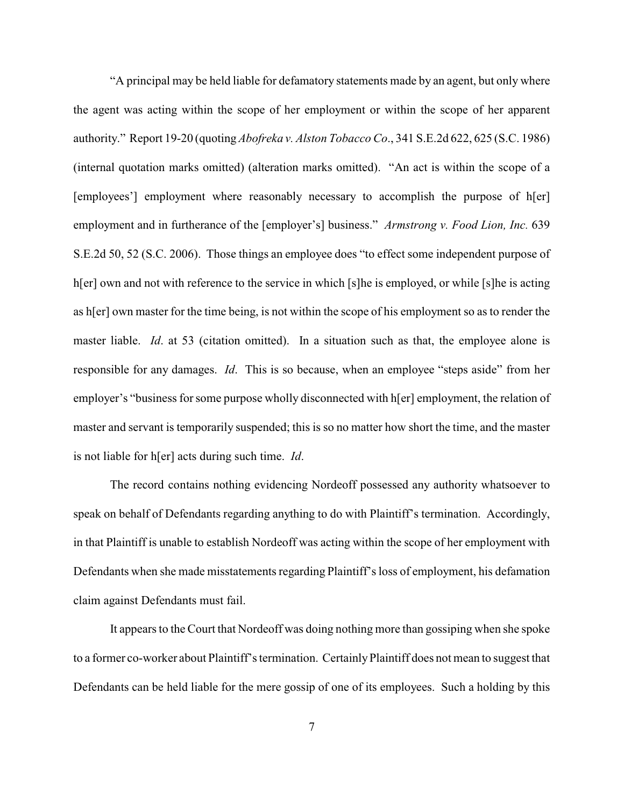"A principal may be held liable for defamatory statements made by an agent, but only where the agent was acting within the scope of her employment or within the scope of her apparent authority." Report 19-20 (quoting *Abofreka v. Alston Tobacco Co*., 341 S.E.2d 622, 625 (S.C. 1986) (internal quotation marks omitted) (alteration marks omitted). "An act is within the scope of a [employees'] employment where reasonably necessary to accomplish the purpose of h[er] employment and in furtherance of the [employer's] business." *Armstrong v. Food Lion, Inc.* 639 S.E.2d 50, 52 (S.C. 2006). Those things an employee does "to effect some independent purpose of h[er] own and not with reference to the service in which [s]he is employed, or while [s]he is acting as h[er] own master for the time being, is not within the scope of his employment so as to render the master liable. *Id.* at 53 (citation omitted). In a situation such as that, the employee alone is responsible for any damages. *Id*. This is so because, when an employee "steps aside" from her employer's "business for some purpose wholly disconnected with h[er] employment, the relation of master and servant is temporarily suspended; this is so no matter how short the time, and the master is not liable for h[er] acts during such time. *Id*.

The record contains nothing evidencing Nordeoff possessed any authority whatsoever to speak on behalf of Defendants regarding anything to do with Plaintiff's termination. Accordingly, in that Plaintiff is unable to establish Nordeoff was acting within the scope of her employment with Defendants when she made misstatements regarding Plaintiff's loss of employment, his defamation claim against Defendants must fail.

It appears to the Court that Nordeoff was doing nothing more than gossiping when she spoke to a former co-worker about Plaintiff's termination. CertainlyPlaintiff does not mean to suggest that Defendants can be held liable for the mere gossip of one of its employees. Such a holding by this